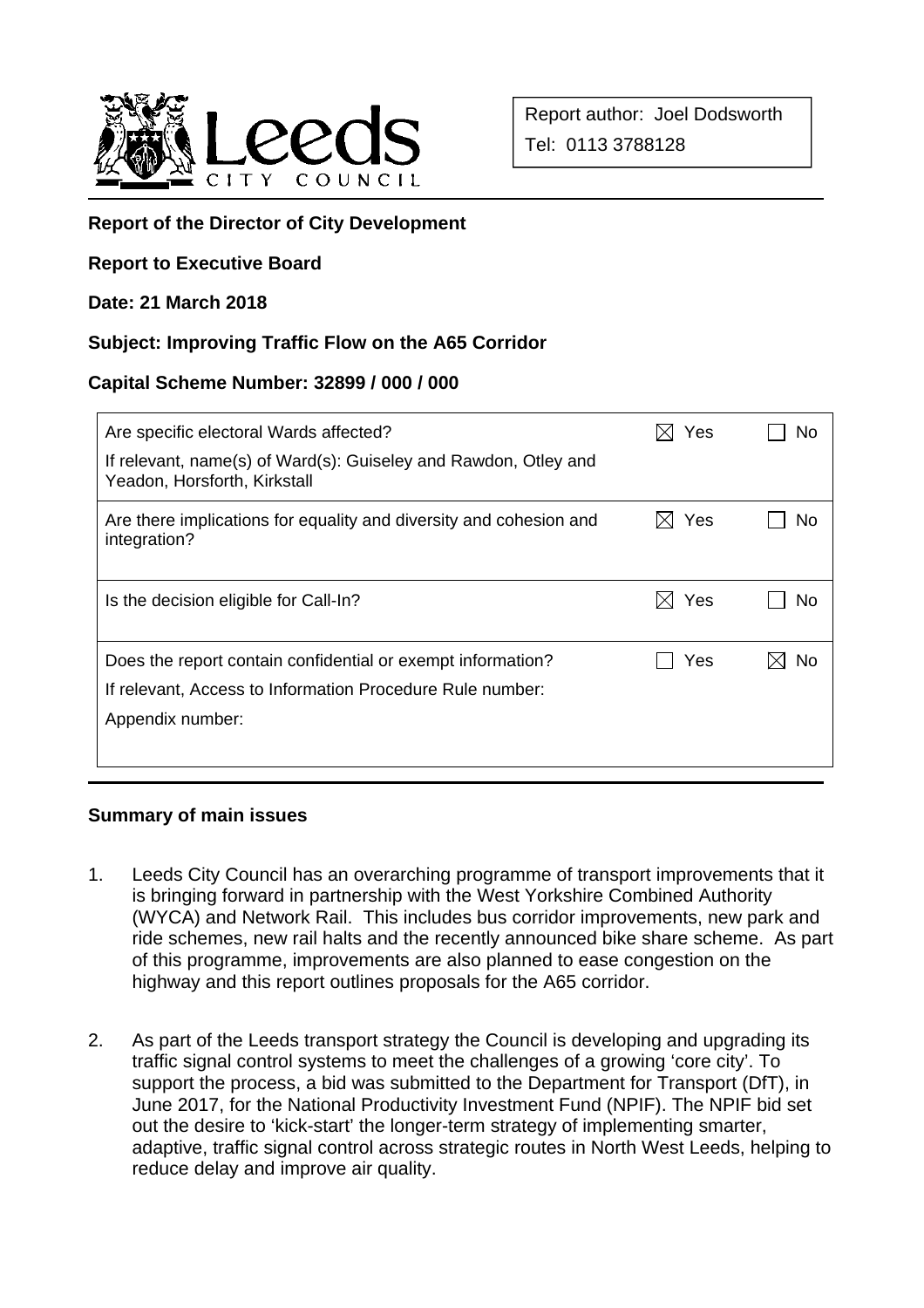

# **Report of the Director of City Development**

### **Report to Executive Board**

### **Date: 21 March 2018**

### **Subject: Improving Traffic Flow on the A65 Corridor**

### **Capital Scheme Number: 32899 / 000 / 000**

| Are specific electoral Wards affected?<br>If relevant, name(s) of Ward(s): Guiseley and Rawdon, Otley and<br>Yeadon, Horsforth, Kirkstall    | Yes | No |
|----------------------------------------------------------------------------------------------------------------------------------------------|-----|----|
| Are there implications for equality and diversity and cohesion and<br>integration?                                                           | Yes | No |
| Is the decision eligible for Call-In?                                                                                                        | Yes | Nο |
| Does the report contain confidential or exempt information?<br>If relevant, Access to Information Procedure Rule number:<br>Appendix number: | Yes | Nο |

### **Summary of main issues**

- 1. Leeds City Council has an overarching programme of transport improvements that it is bringing forward in partnership with the West Yorkshire Combined Authority (WYCA) and Network Rail. This includes bus corridor improvements, new park and ride schemes, new rail halts and the recently announced bike share scheme. As part of this programme, improvements are also planned to ease congestion on the highway and this report outlines proposals for the A65 corridor.
- 2. As part of the Leeds transport strategy the Council is developing and upgrading its traffic signal control systems to meet the challenges of a growing 'core city'. To support the process, a bid was submitted to the Department for Transport (DfT), in June 2017, for the National Productivity Investment Fund (NPIF). The NPIF bid set out the desire to 'kick-start' the longer-term strategy of implementing smarter, adaptive, traffic signal control across strategic routes in North West Leeds, helping to reduce delay and improve air quality.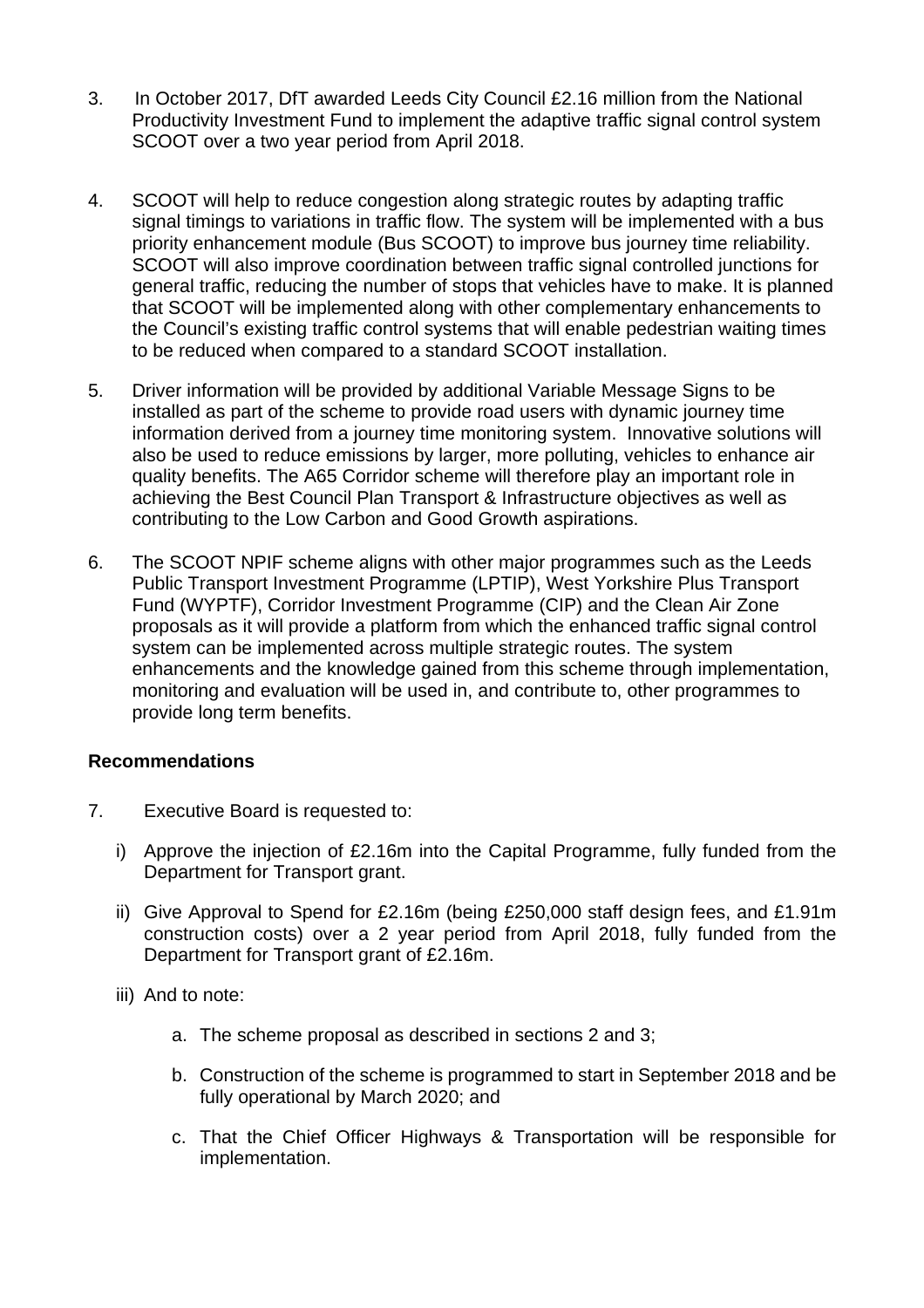- 3. In October 2017, DfT awarded Leeds City Council £2.16 million from the National Productivity Investment Fund to implement the adaptive traffic signal control system SCOOT over a two year period from April 2018.
- 4. SCOOT will help to reduce congestion along strategic routes by adapting traffic signal timings to variations in traffic flow. The system will be implemented with a bus priority enhancement module (Bus SCOOT) to improve bus journey time reliability. SCOOT will also improve coordination between traffic signal controlled junctions for general traffic, reducing the number of stops that vehicles have to make. It is planned that SCOOT will be implemented along with other complementary enhancements to the Council's existing traffic control systems that will enable pedestrian waiting times to be reduced when compared to a standard SCOOT installation.
- 5. Driver information will be provided by additional Variable Message Signs to be installed as part of the scheme to provide road users with dynamic journey time information derived from a journey time monitoring system. Innovative solutions will also be used to reduce emissions by larger, more polluting, vehicles to enhance air quality benefits. The A65 Corridor scheme will therefore play an important role in achieving the Best Council Plan Transport & Infrastructure objectives as well as contributing to the Low Carbon and Good Growth aspirations.
- 6. The SCOOT NPIF scheme aligns with other major programmes such as the Leeds Public Transport Investment Programme (LPTIP), West Yorkshire Plus Transport Fund (WYPTF), Corridor Investment Programme (CIP) and the Clean Air Zone proposals as it will provide a platform from which the enhanced traffic signal control system can be implemented across multiple strategic routes. The system enhancements and the knowledge gained from this scheme through implementation, monitoring and evaluation will be used in, and contribute to, other programmes to provide long term benefits.

### **Recommendations**

- 7. Executive Board is requested to:
	- i) Approve the injection of £2.16m into the Capital Programme, fully funded from the Department for Transport grant.
	- ii) Give Approval to Spend for £2.16m (being £250,000 staff design fees, and £1.91m construction costs) over a 2 year period from April 2018, fully funded from the Department for Transport grant of £2.16m.
	- iii) And to note:
		- a. The scheme proposal as described in sections 2 and 3;
		- b. Construction of the scheme is programmed to start in September 2018 and be fully operational by March 2020; and
		- c. That the Chief Officer Highways & Transportation will be responsible for implementation.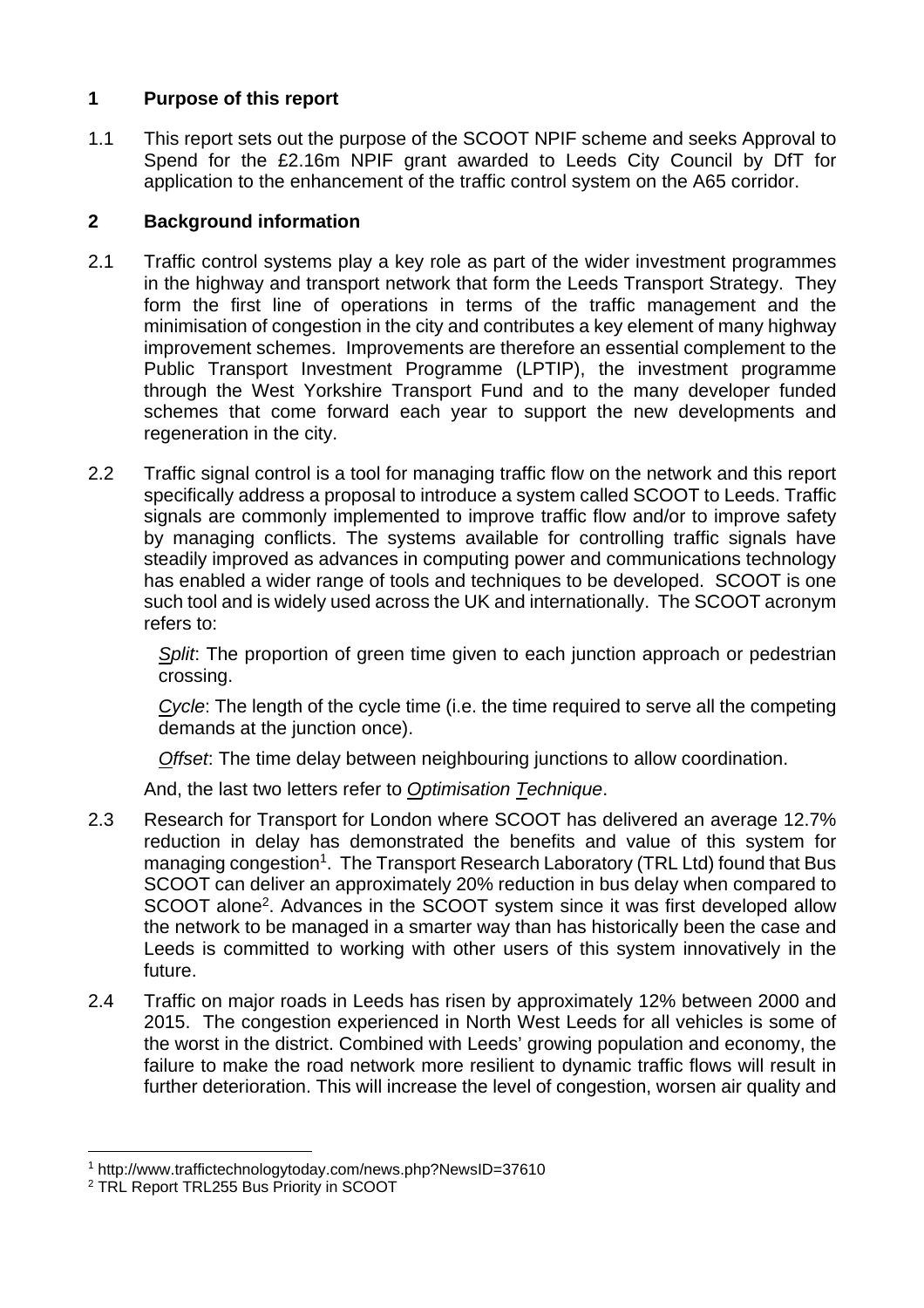## **1 Purpose of this report**

1.1 This report sets out the purpose of the SCOOT NPIF scheme and seeks Approval to Spend for the £2.16m NPIF grant awarded to Leeds City Council by DfT for application to the enhancement of the traffic control system on the A65 corridor.

### **2 Background information**

- 2.1 Traffic control systems play a key role as part of the wider investment programmes in the highway and transport network that form the Leeds Transport Strategy. They form the first line of operations in terms of the traffic management and the minimisation of congestion in the city and contributes a key element of many highway improvement schemes. Improvements are therefore an essential complement to the Public Transport Investment Programme (LPTIP), the investment programme through the West Yorkshire Transport Fund and to the many developer funded schemes that come forward each year to support the new developments and regeneration in the city.
- 2.2 Traffic signal control is a tool for managing traffic flow on the network and this report specifically address a proposal to introduce a system called SCOOT to Leeds. Traffic signals are commonly implemented to improve traffic flow and/or to improve safety by managing conflicts. The systems available for controlling traffic signals have steadily improved as advances in computing power and communications technology has enabled a wider range of tools and techniques to be developed. SCOOT is one such tool and is widely used across the UK and internationally. The SCOOT acronym refers to:

*Split*: The proportion of green time given to each junction approach or pedestrian crossing.

*Cycle*: The length of the cycle time (i.e. the time required to serve all the competing demands at the junction once).

*Offset*: The time delay between neighbouring junctions to allow coordination.

And, the last two letters refer to *Optimisation Technique*.

- 2.3 Research for Transport for London where SCOOT has delivered an average 12.7% reduction in delay has demonstrated the benefits and value of this system for managing congestion<sup>1</sup>. The Transport Research Laboratory (TRL Ltd) found that Bus SCOOT can deliver an approximately 20% reduction in bus delay when compared to SCOOT alone<sup>2</sup>. Advances in the SCOOT system since it was first developed allow the network to be managed in a smarter way than has historically been the case and Leeds is committed to working with other users of this system innovatively in the future.
- 2.4 Traffic on major roads in Leeds has risen by approximately 12% between 2000 and 2015. The congestion experienced in North West Leeds for all vehicles is some of the worst in the district. Combined with Leeds' growing population and economy, the failure to make the road network more resilient to dynamic traffic flows will result in further deterioration. This will increase the level of congestion, worsen air quality and

l 1 http://www.traffictechnologytoday.com/news.php?NewsID=37610

<sup>&</sup>lt;sup>2</sup> TRL Report TRL255 Bus Priority in SCOOT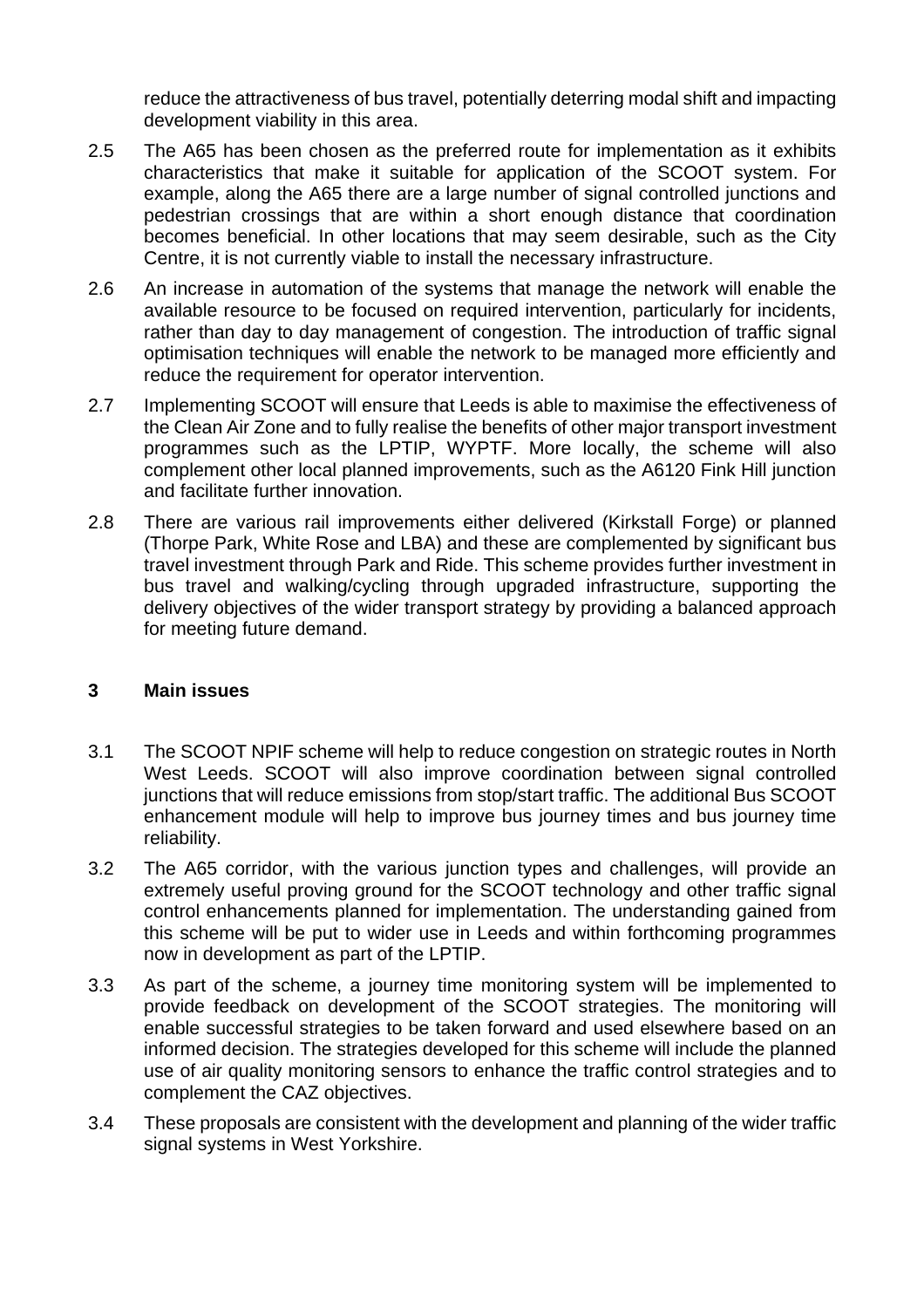reduce the attractiveness of bus travel, potentially deterring modal shift and impacting development viability in this area.

- 2.5 The A65 has been chosen as the preferred route for implementation as it exhibits characteristics that make it suitable for application of the SCOOT system. For example, along the A65 there are a large number of signal controlled junctions and pedestrian crossings that are within a short enough distance that coordination becomes beneficial. In other locations that may seem desirable, such as the City Centre, it is not currently viable to install the necessary infrastructure.
- 2.6 An increase in automation of the systems that manage the network will enable the available resource to be focused on required intervention, particularly for incidents, rather than day to day management of congestion. The introduction of traffic signal optimisation techniques will enable the network to be managed more efficiently and reduce the requirement for operator intervention.
- 2.7 Implementing SCOOT will ensure that Leeds is able to maximise the effectiveness of the Clean Air Zone and to fully realise the benefits of other major transport investment programmes such as the LPTIP, WYPTF. More locally, the scheme will also complement other local planned improvements, such as the A6120 Fink Hill junction and facilitate further innovation.
- 2.8 There are various rail improvements either delivered (Kirkstall Forge) or planned (Thorpe Park, White Rose and LBA) and these are complemented by significant bus travel investment through Park and Ride. This scheme provides further investment in bus travel and walking/cycling through upgraded infrastructure, supporting the delivery objectives of the wider transport strategy by providing a balanced approach for meeting future demand.

### **3 Main issues**

- 3.1 The SCOOT NPIF scheme will help to reduce congestion on strategic routes in North West Leeds. SCOOT will also improve coordination between signal controlled junctions that will reduce emissions from stop/start traffic. The additional Bus SCOOT enhancement module will help to improve bus journey times and bus journey time reliability.
- 3.2 The A65 corridor, with the various junction types and challenges, will provide an extremely useful proving ground for the SCOOT technology and other traffic signal control enhancements planned for implementation. The understanding gained from this scheme will be put to wider use in Leeds and within forthcoming programmes now in development as part of the LPTIP.
- 3.3 As part of the scheme, a journey time monitoring system will be implemented to provide feedback on development of the SCOOT strategies. The monitoring will enable successful strategies to be taken forward and used elsewhere based on an informed decision. The strategies developed for this scheme will include the planned use of air quality monitoring sensors to enhance the traffic control strategies and to complement the CAZ objectives.
- 3.4 These proposals are consistent with the development and planning of the wider traffic signal systems in West Yorkshire.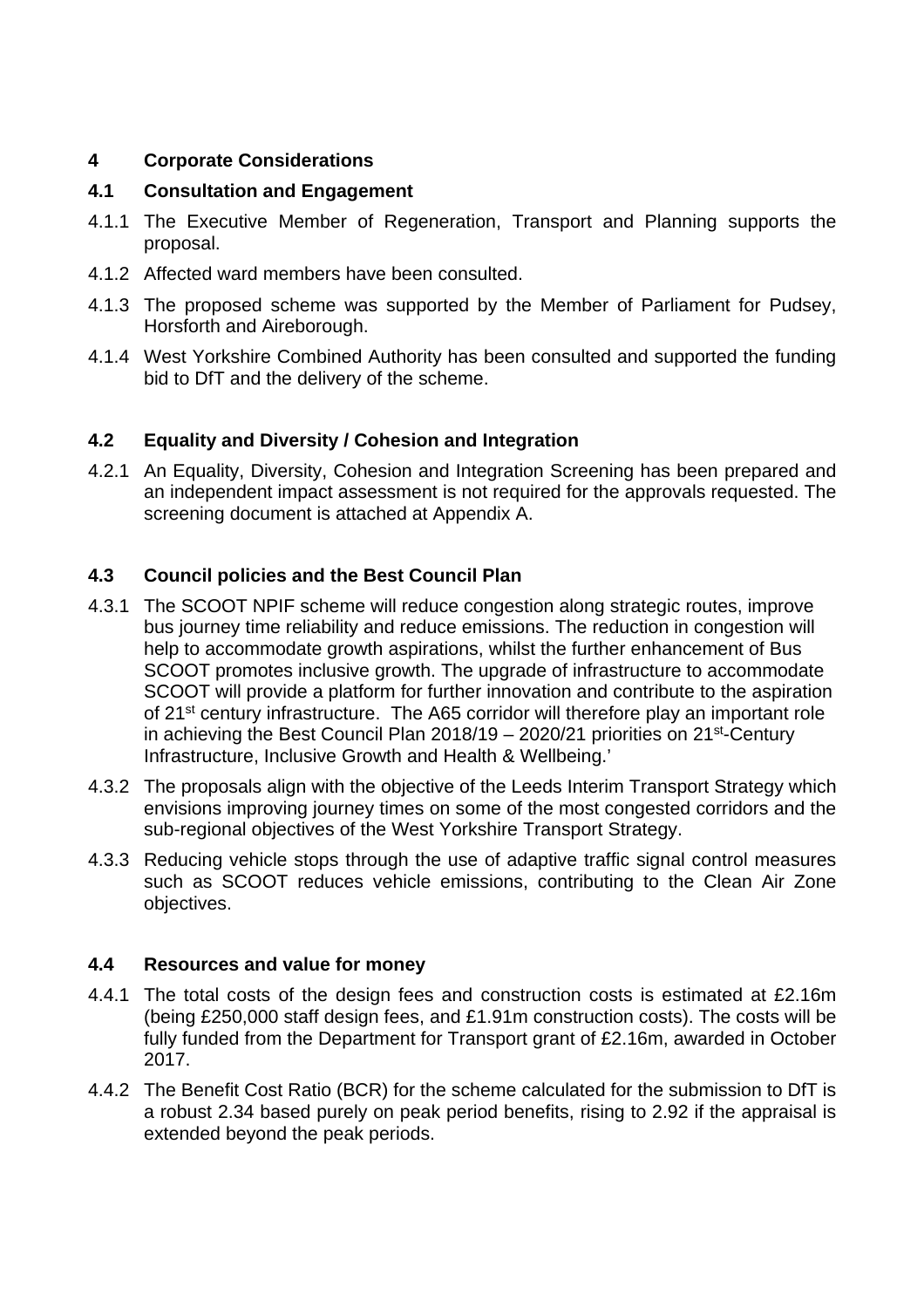## **4 Corporate Considerations**

## **4.1 Consultation and Engagement**

- 4.1.1 The Executive Member of Regeneration, Transport and Planning supports the proposal.
- 4.1.2 Affected ward members have been consulted.
- 4.1.3 The proposed scheme was supported by the Member of Parliament for Pudsey, Horsforth and Aireborough.
- 4.1.4 West Yorkshire Combined Authority has been consulted and supported the funding bid to DfT and the delivery of the scheme.

# **4.2 Equality and Diversity / Cohesion and Integration**

4.2.1 An Equality, Diversity, Cohesion and Integration Screening has been prepared and an independent impact assessment is not required for the approvals requested. The screening document is attached at Appendix A.

# **4.3 Council policies and the Best Council Plan**

- 4.3.1 The SCOOT NPIF scheme will reduce congestion along strategic routes, improve bus journey time reliability and reduce emissions. The reduction in congestion will help to accommodate growth aspirations, whilst the further enhancement of Bus SCOOT promotes inclusive growth. The upgrade of infrastructure to accommodate SCOOT will provide a platform for further innovation and contribute to the aspiration of 21<sup>st</sup> century infrastructure. The A65 corridor will therefore play an important role in achieving the Best Council Plan  $2018/19 - 2020/21$  priorities on  $21<sup>st</sup>$ -Century Infrastructure, Inclusive Growth and Health & Wellbeing.'
- 4.3.2 The proposals align with the objective of the Leeds Interim Transport Strategy which envisions improving journey times on some of the most congested corridors and the sub-regional objectives of the West Yorkshire Transport Strategy.
- 4.3.3 Reducing vehicle stops through the use of adaptive traffic signal control measures such as SCOOT reduces vehicle emissions, contributing to the Clean Air Zone objectives.

## **4.4 Resources and value for money**

- 4.4.1 The total costs of the design fees and construction costs is estimated at £2.16m (being £250,000 staff design fees, and £1.91m construction costs). The costs will be fully funded from the Department for Transport grant of £2.16m, awarded in October 2017.
- 4.4.2 The Benefit Cost Ratio (BCR) for the scheme calculated for the submission to DfT is a robust 2.34 based purely on peak period benefits, rising to 2.92 if the appraisal is extended beyond the peak periods.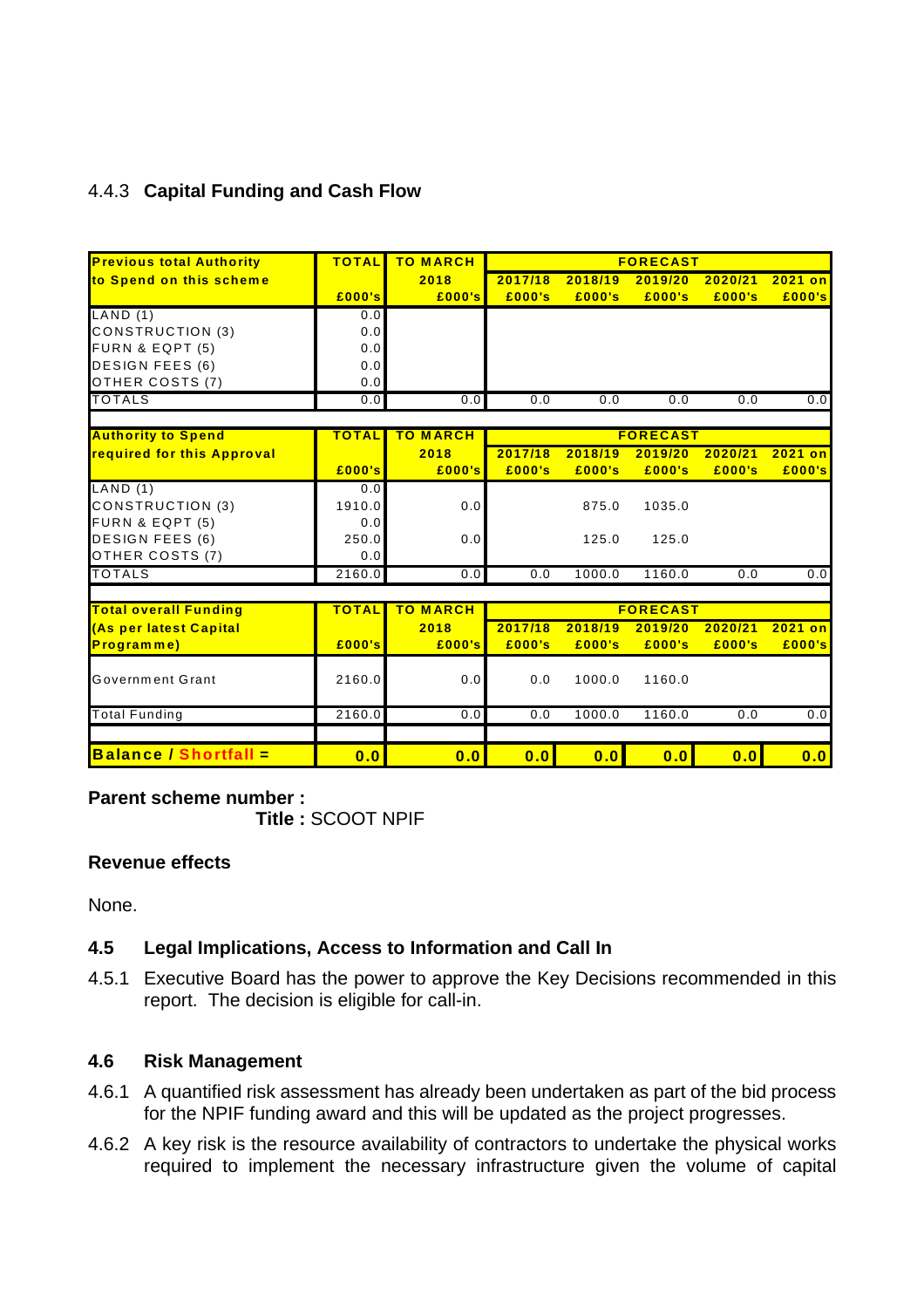# 4.4.3 **Capital Funding and Cash Flow**

| <b>Previous total Authority</b> | <b>TOTAL</b> | <b>TO MARCH</b> | <b>FORECAST</b> |         |                  |         |           |
|---------------------------------|--------------|-----------------|-----------------|---------|------------------|---------|-----------|
| to Spend on this scheme         |              | 2018            | 2017/18         | 2018/19 | 2019/20          | 2020/21 | 2021 on   |
|                                 | E000's       | E000's          | £000's          | £000's  | £000's           | £000's  | £000's    |
| LAND(1)                         | 0.0          |                 |                 |         |                  |         |           |
| <b>CONSTRUCTION (3)</b>         | 0.0          |                 |                 |         |                  |         |           |
| FURN & EQPT (5)                 | 0.0          |                 |                 |         |                  |         |           |
| <b>DESIGN FEES (6)</b>          | 0.0          |                 |                 |         |                  |         |           |
| OTHER COSTS (7)                 | 0.0          |                 |                 |         |                  |         |           |
| <b>TOTALS</b>                   | 0.0          | 0.0             | 0.0             | 0.0     | 0.0              | 0.0     | 0.0       |
|                                 |              |                 |                 |         |                  |         |           |
| <b>Authority to Spend</b>       | <b>TOTAL</b> | <b>TO MARCH</b> |                 |         | <b>FORECAST</b>  |         |           |
| required for this Approval      |              | 2018            | 2017/18         | 2018/19 | 2019/20          | 2020/21 | $2021$ on |
|                                 | £000's       | £000's          | £000's          | £000's  | £000's           | £000's  | £000's    |
| LAND(1)                         | 0.0          |                 |                 |         |                  |         |           |
| <b>CONSTRUCTION (3)</b>         | 1910.0       | 0.0             |                 | 875.0   | 1035.0           |         |           |
| FURN & EQPT (5)                 | 0.0          |                 |                 |         |                  |         |           |
| <b>DESIGN FEES (6)</b>          | 250.0        | 0.0             |                 | 125.0   | 125.0            |         |           |
| OTHER COSTS (7)                 | 0.0          |                 |                 |         |                  |         |           |
| <b>TOTALS</b>                   | 2160.0       | 0.0             | 0.0             | 1000.0  | 1160.0           | 0.0     | 0.0       |
|                                 |              |                 |                 |         |                  |         |           |
| <b>Total overall Funding</b>    | <b>TOTAL</b> | <b>TO MARCH</b> | <b>FORECAST</b> |         |                  |         |           |
| (As per latest Capital          |              | 2018            | 2017/18         | 2018/19 | 2019/20          | 2020/21 | $2021$ on |
| Programme)                      | E000's       | E000's          | £000's          | £000's  | £000's           | £000's  | £000's    |
|                                 |              |                 |                 |         |                  |         |           |
| Government Grant                | 2160.0       | 0.0             | 0.0             | 1000.0  | 1160.0           |         |           |
| <b>Total Funding</b>            | 2160.0       | 0.0             | 0.0             | 1000.0  | 1160.0           | 0.0     | 0.0       |
|                                 |              |                 |                 |         |                  |         |           |
| <b>Balance / Shortfall =</b>    | 0.0          | 0.0             | 0.0             | 0.0     | $\overline{0.0}$ | 0.0     | 0.0       |

### **Parent scheme number :**

**Title :** SCOOT NPIF

### **Revenue effects**

None.

## **4.5 Legal Implications, Access to Information and Call In**

4.5.1 Executive Board has the power to approve the Key Decisions recommended in this report. The decision is eligible for call-in.

### **4.6 Risk Management**

- 4.6.1 A quantified risk assessment has already been undertaken as part of the bid process for the NPIF funding award and this will be updated as the project progresses.
- 4.6.2 A key risk is the resource availability of contractors to undertake the physical works required to implement the necessary infrastructure given the volume of capital